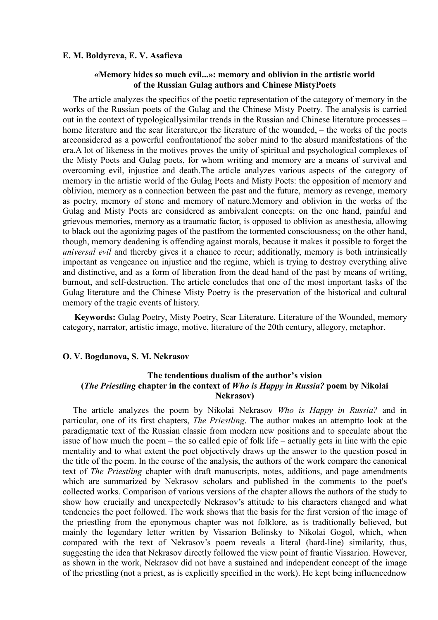### **E. M. Boldyreva, E. V. Asafieva**

### **«Memory hides so much evil...»: memory and oblivion in the artistic world of the Russian Gulag authors and Chinese MistyPoets**

The article analyzes the specifics of the poetic representation of the category of memory in the works of the Russian poets of the Gulag and the Chinese Misty Poetry. The analysis is carried out in the context of typologicallysimilar trends in the Russian and Chinese literature processes – home literature and the scar literature, or the literature of the wounded, – the works of the poets areconsidered as a powerful confrontationof the sober mind to the absurd manifestations of the era.A lot of likeness in the motives proves the unity of spiritual and psychological complexes of the Misty Poets and Gulag poets, for whom writing and memory are a means of survival and overcoming evil, injustice and death.The article analyzes various aspects of the category of memory in the artistic world of the Gulag Poets and Misty Poets: the opposition of memory and oblivion, memory as a connection between the past and the future, memory as revenge, memory as poetry, memory of stone and memory of nature.Memory and oblivion in the works of the Gulag and Misty Poets are considered as ambivalent concepts: on the one hand, painful and grievous memories, memory as a traumatic factor, is opposed to oblivion as anesthesia, allowing to black out the agonizing pages of the pastfrom the tormented consciousness; on the other hand, though, memory deadening is offending against morals, because it makes it possible to forget the *universal evil* and thereby gives it a chance to recur; additionally, memory is both intrinsically important as vengeance on injustice and the regime, which is trying to destroy everything alive and distinctive, and as a form of liberation from the dead hand of the past by means of writing, burnout, and self-destruction. The article concludes that one of the most important tasks of the Gulag literature and the Chinese Misty Poetry is the preservation of the historical and cultural memory of the tragic events of history.

**Keywords:** Gulag Poetry, Misty Poetry, Scar Literature, Literature of the Wounded, memory category, narrator, artistic image, motive, literature of the 20th century, allegory, metaphor.

#### **O. V. Bogdanova, S. M. Nekrasov**

# **The tendentious dualism of the author's vision (***The Priestling* **chapter in the context of** *Who is Happy in Russia?* **poem by Nikolai Nekrasov)**

The article analyzes the poem by Nikolai Nekrasov *Who is Happy in Russia?* аnd in particular, one of its first chapters, *The Priestling*. The author makes an attemptto look at the paradigmatic text of the Russian classic from modern new positions and to speculate about the issue of how much the poem – the so called epic of folk life – actually gets in line with the epic mentality and to what extent the poet objectively draws up the answer to the question posed in the title of the poem. In the course of the analysis, the authors of the work compare the canonical text of *The Priestling* chapter with draft manuscripts, notes, additions, and page amendments which are summarized by Nekrasov scholars and published in the comments to the poet's collected works. Comparison of various versions of the chapter allows the authors of the study to show how crucially and unexpectedly Nekrasov's attitude to his characters changed and what tendencies the poet followed. The work shows that the basis for the first version of the image of the priestling from the eponymous chapter was not folklore, as is traditionally believed, but mainly the legendary letter written by Vissarion Belinsky to Nikolai Gogol, which, when compared with the text of Nekrasov's poem reveals a literal (hard-line) similarity, thus, suggesting the idea that Nekrasov directly followed the view point of frantic Vissarion. However, as shown in the work, Nekrasov did not have a sustained and independent concept of the image of the priestling (not a priest, as is explicitly specified in the work). He kept being influencednow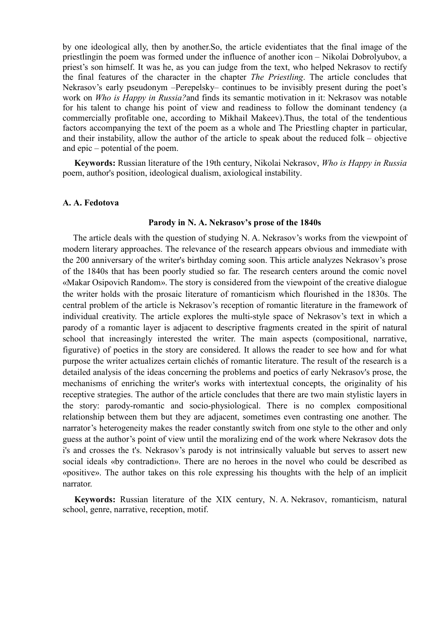by one ideological ally, then by another.So, the article evidentiates that the final image of the priestlingin the poem was formed under the influence of another icon – Nikolai Dobrolyubov, a priest's son himself. It was he, as you can judge from the text, who helped Nekrasov to rectify the final features of the character in the chapter *The Priestling*. The article concludes that Nekrasov's early pseudonym –Perepelsky– continues to be invisibly present during the poet's work on *Who is Happy in Russia?*and finds its semantic motivation in it: Nekrasov was notable for his talent to change his point of view and readiness to follow the dominant tendency (a commercially profitable one, according to Mikhail Makeev).Thus, the total of the tendentious factors accompanying the text of the poem as a whole and The Priestling chapter in particular, and their instability, allow the author of the article to speak about the reduced folk – objective and epic – potential of the poem.

**Keywords:** Russian literature of the 19th century, Nikolai Nekrasov, *Who is Happy in Russia*  poem, author's position, ideological dualism, axiological instability.

#### **A. A. Fedotova**

# **Parody in N. A. Nekrasov's prose of the 1840s**

The article deals with the question of studying N. A. Nekrasov's works from the viewpoint of modern literary approaches. The relevance of the research appears obvious and immediate with the 200 anniversary of the writer's birthday coming soon. This article analyzes Nekrasov's prose of the 1840s that has been poorly studied so far. The research centers around the comic novel «Makar Osipovich Random». The story is considered from the viewpoint of the creative dialogue the writer holds with the prosaic literature of romanticism which flourished in the 1830s. The central problem of the article is Nekrasov's reception of romantic literature in the framework of individual creativity. The article explores the multi-style space of Nekrasov's text in which a parody of a romantic layer is adjacent to descriptive fragments created in the spirit of natural school that increasingly interested the writer. The main aspects (compositional, narrative, figurative) of poetics in the story are considered. It allows the reader to see how and for what purpose the writer actualizes certain clichés of romantic literature. The result of the research is a detailed analysis of the ideas concerning the problems and poetics of early Nekrasov's prose, the mechanisms of enriching the writer's works with intertextual concepts, the originality of his receptive strategies. The author of the article concludes that there are two main stylistic layers in the story: parody-romantic and socio-physiological. There is no complex compositional relationship between them but they are adjacent, sometimes even contrasting one another. The narrator's heterogeneity makes the reader constantly switch from one style to the other and only guess at the author's point of view until the moralizing end of the work where Nekrasov dots the i's and crosses the t's. Nekrasov's parody is not intrinsically valuable but serves to assert new social ideals «by contradiction». There are no heroes in the novel who could be described as «positive». The author takes on this role expressing his thoughts with the help of an implicit narrator.

**Keywords:** Russian literature of the XIX century, N. A. Nekrasov, romanticism, natural school, genre, narrative, reception, motif.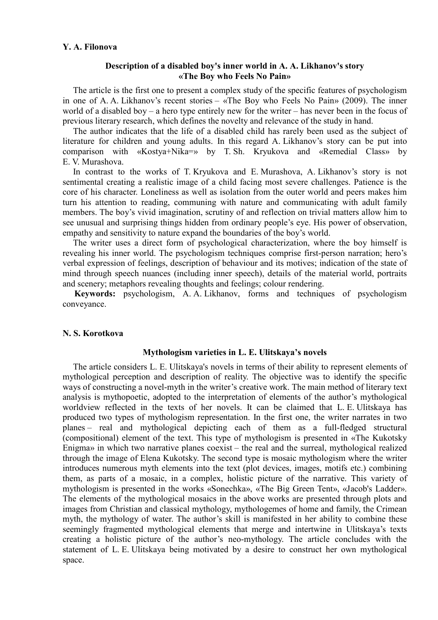### **Y. A. Filonova**

### **Description of a disabled boy's inner world in A. A. Likhanov's story «The Boy who Feels No Pain»**

The article is the first one to present a complex study of the specific features of psychologism in one of A. A. Likhanov's recent stories – «The Boy who Feels No Pain» (2009). The inner world of a disabled boy – a hero type entirely new for the writer – has never been in the focus of previous literary research, which defines the novelty and relevance of the study in hand.

The author indicates that the life of a disabled child has rarely been used as the subject of literature for children and young adults. In this regard A. Likhanov's story can be put into comparison with «Kostya+Nika=» by T. Sh. Kryukova and «Remedial Class» by E. V. Murashova.

In contrast to the works of T. Kryukova and E. Murashova, A. Likhanov's story is not sentimental creating a realistic image of a child facing most severe challenges. Patience is the core of his character. Loneliness as well as isolation from the outer world and peers makes him turn his attention to reading, communing with nature and communicating with adult family members. The boy's vivid imagination, scrutiny of and reflection on trivial matters allow him to see unusual and surprising things hidden from ordinary people's eye. His power of observation, empathy and sensitivity to nature expand the boundaries of the boy's world.

The writer uses a direct form of psychological characterization, where the boy himself is revealing his inner world. The psychologism techniques comprise first-person narration; hero's verbal expression of feelings, description of behaviour and its motives; indication of the state of mind through speech nuances (including inner speech), details of the material world, portraits and scenery; metaphors revealing thoughts and feelings; colour rendering.

**Keywords:** рsychologism, A. A. Likhanov, forms and techniques of psychologism conveyance.

### **N. S. Korotkova**

# **Mythologism varieties in L. E. Ulitskaya's novels**

The article considers L. E. Ulitskaya's novels in terms of their ability to represent elements of mythological perception and description of reality. The objective was to identify the specific ways of constructing a novel-myth in the writer's creative work. The main method of literary text analysis is mythopoetic, adopted to the interpretation of elements of the author's mythological worldview reflected in the texts of her novels. It can be claimed that L. E. Ulitskaya has produced two types of mythologism representation. In the first one, the writer narrates in two planes – real and mythological depicting each of them as a full-fledged structural (compositional) element of the text. This type of mythologism is presented in «The Kukotsky Enigma» in which two narrative planes coexist – the real and the surreal, mythological realized through the image of Elena Kukotsky. The second type is mosaic mythologism where the writer introduces numerous myth elements into the text (plot devices, images, motifs etc.) combining them, as parts of a mosaic, in a complex, holistic picture of the narrative. This variety of mythologism is presented in the works «Sonechka», «The Big Green Tent», «Jacob's Ladder». The elements of the mythological mosaics in the above works are presented through plots and images from Christian and classical mythology, mythologemes of home and family, the Crimean myth, the mythology of water. The author's skill is manifested in her ability to combine these seemingly fragmented mythological elements that merge and intertwine in Ulitskaya's texts creating a holistic picture of the author's neo-mythology. The article concludes with the statement of L. E. Ulitskaya being motivated by a desire to construct her own mythological space.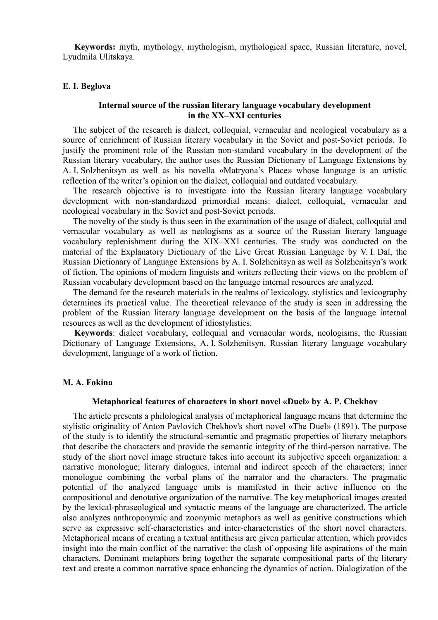**Keywords:** myth, mythology, mythologism, mythological space, Russian literature, novel, Lyudmila Ulitskaya.

#### **E. I. Beglova**

### **Internal source of the russian literary language vocabulary development in the XX–XXI centuries**

The subject of the research is dialect, colloquial, vernacular and neological vocabulary as a source of enrichment of Russian literary vocabulary in the Soviet and post-Soviet periods. To justify the prominent role of the Russian non-standard vocabulary in the development of the Russian literary vocabulary, the author uses the Russian Dictionary of Language Extensions by A. I. Solzhenitsyn as well as his novella «Matryona's Place» whose language is an artistic reflection of the writer's opinion on the dialect, colloquial and outdated vocabulary.

The research objective is to investigate into the Russian literary language vocabulary development with non-standardized primordial means: dialect, colloquial, vernacular and neological vocabulary in the Soviet and post-Soviet periods.

The novelty of the study is thus seen in the examination of the usage of dialect, colloquial and vernacular vocabulary as well as neologisms as a source of the Russian literary language vocabulary replenishment during the XIX–XXI centuries. The study was conducted on the material of the Explanatory Dictionary of the Live Great Russian Language by V. I. Dal, the Russian Dictionary of Language Extensions by A. I. Solzhenitsyn as well as Solzhenitsyn's work of fiction. The opinions of modern linguists and writers reflecting their views on the problem of Russian vocabulary development based on the language internal resources are analyzed.

The demand for the research materials in the realms of lexicology, stylistics and lexicography determines its practical value. The theoretical relevance of the study is seen in addressing the problem of the Russian literary language development on the basis of the language internal resources as well as the development of idiostylistics.

**Keywords**: dialect vocabulary, colloquial and vernacular words, neologisms, the Russian Dictionary of Language Extensions, A. I. Solzhenitsyn, Russian literary language vocabulary development, language of a work of fiction.

#### **M. A. Fokina**

#### **Metaphorical features of characters in short novel «Duel» by A. P. Chekhov**

The article presents a philological analysis of metaphorical language means that determine the stylistic originality of Anton Pavlovich Chekhov's short novel «The Duel» (1891). The purpose of the study is to identify the structural-semantic and pragmatic properties of literary metaphors that describe the characters and provide the semantic integrity of the third-person narrative. The study of the short novel image structure takes into account its subjective speech organization: a narrative monologue; literary dialogues, internal and indirect speech of the characters; inner monologue combining the verbal plans of the narrator and the characters. The pragmatic potential of the analyzed language units is manifested in their active influence on the compositional and denotative organization of the narrative. The key metaphorical images created by the lexical-phraseological and syntactic means of the language are characterized. The article also analyzes anthroponymic and zoonymic metaphors as well as genitive constructions which serve as expressive self-characteristics and inter-characteristics of the short novel characters. Metaphorical means of creating a textual antithesis are given particular attention, which provides insight into the main conflict of the narrative: the clash of opposing life aspirations of the main characters. Dominant metaphors bring together the separate compositional parts of the literary text and create a common narrative space enhancing the dynamics of action. Dialogization of the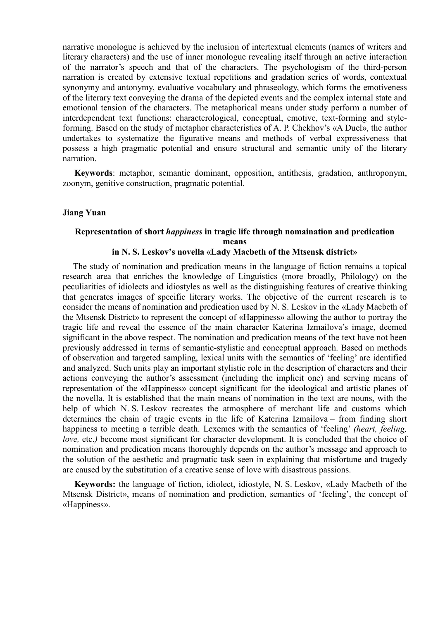narrative monologue is achieved by the inclusion of intertextual elements (names of writers and literary characters) and the use of inner monologue revealing itself through an active interaction of the narrator's speech and that of the characters. The psychologism of the third-person narration is created by extensive textual repetitions and gradation series of words, contextual synonymy and antonymy, evaluative vocabulary and phraseology, which forms the emotiveness of the literary text conveying the drama of the depicted events and the complex internal state and emotional tension of the characters. The metaphorical means under study perform a number of interdependent text functions: characterological, conceptual, emotive, text-forming and styleforming. Based on the study of metaphor characteristics of A. P. Chekhov's «A Duel», the author undertakes to systematize the figurative means and methods of verbal expressiveness that possess a high pragmatic potential and ensure structural and semantic unity of the literary narration.

**Keywords**: metaphor, semantic dominant, opposition, antithesis, gradation, anthroponym, zoonym, genitive construction, pragmatic potential.

### **Jiang Yuan**

# **Representation of short** *happiness* **in tragic life through nomaination and predication means**

### **in N. S. Leskov's novella «Lady Macbeth of the Mtsensk district»**

The study of nomination and predication means in the language of fiction remains a topical research area that enriches the knowledge of Linguistics (more broadly, Philology) on the peculiarities of idiolects and idiostyles as well as the distinguishing features of creative thinking that generates images of specific literary works. The objective of the current research is to consider the means of nomination and predication used by N. S. Leskov in the «Lady Macbeth of the Mtsensk District» to represent the concept of «Happiness» allowing the author to portray the tragic life and reveal the essence of the main character Katerina Izmailova's image, deemed significant in the above respect. The nomination and predication means of the text have not been previously addressed in terms of semantic-stylistic and conceptual approach. Based on methods of observation and targeted sampling, lexical units with the semantics of 'feeling' are identified and analyzed. Such units play an important stylistic role in the description of characters and their actions conveying the author's assessment (including the implicit one) and serving means of representation of the «Happiness» concept significant for the ideological and artistic planes of the novella. It is established that the main means of nomination in the text are nouns, with the help of which N. S. Leskov recreates the atmosphere of merchant life and customs which determines the chain of tragic events in the life of Katerina Izmailova – from finding short happiness to meeting a terrible death. Lexemes with the semantics of 'feeling' *(heart, feeling, love*, etc.) become most significant for character development. It is concluded that the choice of nomination and predication means thoroughly depends on the author's message and approach to the solution of the aesthetic and pragmatic task seen in explaining that misfortune and tragedy are caused by the substitution of a creative sense of love with disastrous passions.

**Keywords:** the language of fiction, idiolect, idiostyle, N. S. Leskov, «Lady Macbeth of the Mtsensk District», means of nomination and prediction, semantics of 'feeling', the concept of «Happiness».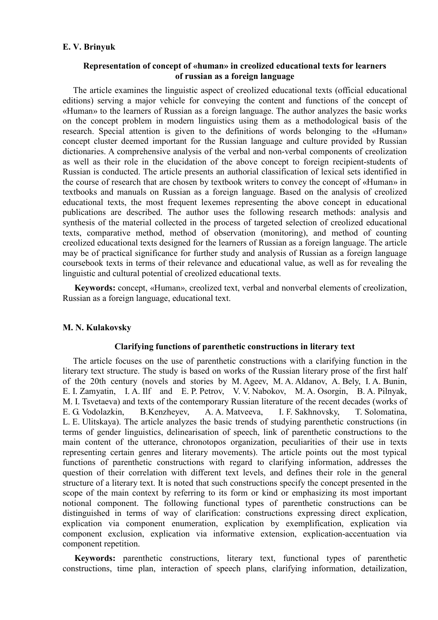# **E. V. Brinyuk**

# **Representation of concept of «human» in creolized educational texts for learners of russian as a foreign language**

The article examines the linguistic aspect of creolized educational texts (official educational editions) serving a major vehicle for conveying the content and functions of the concept of «Human» to the learners of Russian as a foreign language. The author analyzes the basic works on the concept problem in modern linguistics using them as a methodological basis of the research. Special attention is given to the definitions of words belonging to the «Human» concept cluster deemed important for the Russian language and culture provided by Russian dictionaries. A comprehensive analysis of the verbal and non-verbal components of creolization as well as their role in the elucidation of the above concept to foreign recipient-students of Russian is conducted. The article presents an authorial classification of lexical sets identified in the course of research that are chosen by textbook writers to convey the concept of «Human» in textbooks and manuals on Russian as a foreign language. Based on the analysis of creolized educational texts, the most frequent lexemes representing the above concept in educational publications are described. The author uses the following research methods: analysis and synthesis of the material collected in the process of targeted selection of creolized educational texts, comparative method, method of observation (monitoring), and method of counting creolized educational texts designed for the learners of Russian as a foreign language. The article may be of practical significance for further study and analysis of Russian as a foreign language coursebook texts in terms of their relevance and educational value, as well as for revealing the linguistic and cultural potential of creolized educational texts.

**Keywords:** concept, «Human», creolized text, verbal and nonverbal elements of creolization, Russian as a foreign language, educational text.

# **M. N. Kulakovsky**

# **Clarifying functions of parenthetic constructions in literary text**

The article focuses on the use of parenthetic constructions with a clarifying function in the literary text structure. The study is based on works of the Russian literary prose of the first half of the 20th century (novels and stories by M. Ageev, M. A. Aldanov, A. Bely, I. A. Bunin, E. I. Zamyatin, I. A. Ilf and E. P. Petrov, V. V. Nabokov, M. A. Osorgin, B. A. Pilnyak, M. I. Tsvetaeva) and texts of the contemporary Russian literature of the recent decades (works of E. G. Vodolazkin, B.Kenzheyev, A. A. Matveeva, I. F. Sakhnovsky, T. Solomatina, L. E. Ulitskaya). The article analyzes the basic trends of studying parenthetic constructions (in terms of gender linguistics, delinearisation of speech, link of parenthetic constructions to the main content of the utterance, chronotopos organization, peculiarities of their use in texts representing certain genres and literary movements). The article points out the most typical functions of parenthetic constructions with regard to clarifying information, addresses the question of their correlation with different text levels, and defines their role in the general structure of a literary text. It is noted that such constructions specify the concept presented in the scope of the main context by referring to its form or kind or emphasizing its most important notional component. The following functional types of parenthetic constructions can be distinguished in terms of way of clarification: constructions expressing direct explication, explication via component enumeration, explication by exemplification, explication via component exclusion, explication via informative extension, explication-accentuation via component repetition.

**Keywords:** parenthetic constructions, literary text, functional types of parenthetic constructions, time plan, interaction of speech plans, clarifying information, detailization,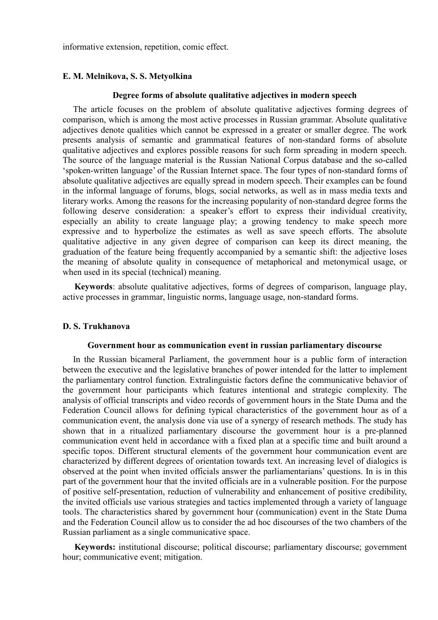informative extension, repetition, comic effect.

### **E. M. Melnikova, S. S. Metyolkina**

#### **Degree forms of absolute qualitative adjectives in modern speech**

The article focuses on the problem of absolute qualitative adjectives forming degrees of comparison, which is among the most active processes in Russian grammar. Absolute qualitative adjectives denote qualities which cannot be expressed in a greater or smaller degree. The work presents analysis of semantic and grammatical features of non-standard forms of absolute qualitative adjectives and explores possible reasons for such form spreading in modern speech. The source of the language material is the Russian National Corpus database and the so-called 'spoken-written language' of the Russian Internet space. The four types of non-standard forms of absolute qualitative adjectives are equally spread in modern speech. Their examples can be found in the informal language of forums, blogs, social networks, as well as in mass media texts and literary works. Among the reasons for the increasing popularity of non-standard degree forms the following deserve consideration: a speaker's effort to express their individual creativity, especially an ability to create language play; a growing tendency to make speech more expressive and to hyperbolize the estimates as well as save speech efforts. The absolute qualitative adjective in any given degree of comparison can keep its direct meaning, the graduation of the feature being frequently accompanied by a semantic shift: the adjective loses the meaning of absolute quality in consequence of metaphorical and metonymical usage, or when used in its special (technical) meaning.

**Keywords**: absolute qualitative adjectives, forms of degrees of comparison, language play, active processes in grammar, linguistic norms, language usage, non-standard forms.

# **D. S. Trukhanova**

#### **Government hour as communication event in russian parliamentary discourse**

In the Russian bicameral Parliament, the government hour is a public form of interaction between the executive and the legislative branches of power intended for the latter to implement the parliamentary control function. Extralinguistic factors define the communicative behavior of the government hour participants which features intentional and strategic complexity. The analysis of official transcripts and video records of government hours in the State Duma and the Federation Council allows for defining typical characteristics of the government hour as of a communication event, the analysis done via use of a synergy of research methods. The study has shown that in a ritualized parliamentary discourse the government hour is a pre-planned communication event held in accordance with a fixed plan at a specific time and built around a specific topos. Different structural elements of the government hour communication event are characterized by different degrees of orientation towards text. An increasing level of dialogics is observed at the point when invited officials answer the parliamentarians' questions. In is in this part of the government hour that the invited officials are in a vulnerable position. For the purpose of positive self-presentation, reduction of vulnerability and enhancement of positive credibility, the invited officials use various strategies and tactics implemented through a variety of language tools. The characteristics shared by government hour (communication) event in the State Duma and the Federation Council allow us to consider the ad hoc discourses of the two chambers of the Russian parliament as a single communicative space.

**Keywords:** institutional discourse; political discourse; parliamentary discourse; government hour; communicative event; mitigation.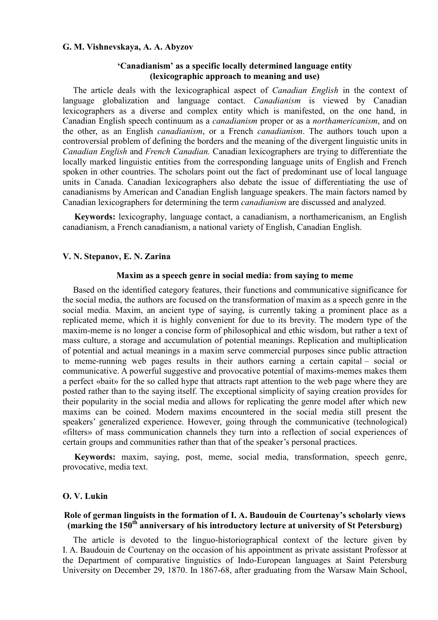### **G. M. Vishnevskaya, A. A. Abyzov**

### **'Canadianism' as a specific locally determined language entity (lexicographic approach to meaning and use)**

The article deals with the lexicographical aspect of *Canadian English* in the context of language globalization and language contact. *Canadianism* is viewed by Canadian lexicographers as a diverse and complex entity which is manifested, on the one hand, in Canadian English speech continuum as a *canadianism* proper or as a *northamericanism*, and on the other, as an English *canadianism*, or a French *canadianism*. The authors touch upon a controversial problem of defining the borders and the meaning of the divergent linguistic units in *Canadian English* and *French Canadian.* Canadian lexicographers are trying to differentiate the locally marked linguistic entities from the corresponding language units of English and French spoken in other countries. The scholars point out the fact of predominant use of local language units in Canada. Canadian lexicographers also debate the issue of differentiating the use of canadianisms by American and Canadian English language speakers. The main factors named by Canadian lexicographers for determining the term *canadianism* are discussed and analyzed.

**Keywords:** lexicography, language contact, a canadianism, a northamericanism, an English canadianism, a French canadianism, a national variety of English, Canadian English.

### **V. N. Stepanov, E. N. Zarina**

#### **Maxim as a speech genre in social media: from saying to meme**

Based on the identified category features, their functions and communicative significance for the social media, the authors are focused on the transformation of maxim as a speech genre in the social media. Maxim, an ancient type of saying, is currently taking a prominent place as a replicated meme, which it is highly convenient for due to its brevity. The modern type of the maxim-meme is no longer a concise form of philosophical and ethic wisdom, but rather a text of mass culture, a storage and accumulation of potential meanings. Replication and multiplication of potential and actual meanings in a maxim serve commercial purposes since public attraction to meme-running web pages results in their authors earning a certain capital – social or communicative. A powerful suggestive and provocative potential of maxims-memes makes them a perfect «bait» for the so called hype that attracts rapt attention to the web page where they are posted rather than to the saying itself. The exceptional simplicity of saying creation provides for their popularity in the social media and allows for replicating the genre model after which new maxims can be coined. Modern maxims encountered in the social media still present the speakers' generalized experience. However, going through the communicative (technological) «filters» of mass communication channels they turn into a reflection of social experiences of certain groups and communities rather than that of the speaker's personal practices.

**Keywords:** maxim, saying, post, meme, social media, transformation, speech genre, provocative, media text.

# **O. V. Lukin**

# **Role of german linguists in the formation of I. A. Baudouin de Courtenay's scholarly views (marking the 150th anniversary of his introductory lecture at university of St Petersburg)**

The article is devoted to the linguo-historiographical context of the lecture given by I. A. Baudouin de Courtenay on the occasion of his appointment as private assistant Professor at the Department of comparative linguistics of Indo-European languages at Saint Petersburg University on December 29, 1870. In 1867-68, after graduating from the Warsaw Main School,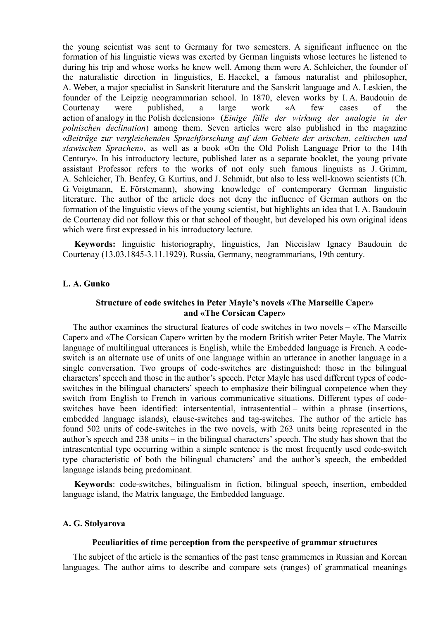the young scientist was sent to Germany for two semesters. A significant influence on the formation of his linguistic views was exerted by German linguists whose lectures he listened to during his trip and whose works he knew well. Among them were A. Schleicher, the founder of the naturalistic direction in linguistics, E. Haeckel, a famous naturalist and philosopher, A. Weber, a major specialist in Sanskrit literature and the Sanskrit language and A. Leskien, the founder of the Leipzig neogrammarian school. In 1870, eleven works by I. A. Baudouin de Courtenay were published, a large work «A few cases of the action of analogy in the Polish declension» (*Einige fälle der wirkung der analogie in der polnischen declination*) among them. Seven articles were also published in the magazine «*Beiträge zur vergleichenden Sprachforschung auf dem Gebiete der arischen, celtischen und slawischen Sprachen»*, as well as a book «On the Old Polish Language Prior to the 14th Century». In his introductory lecture, published later as a separate booklet, the young private assistant Professor refers to the works of not only such famous linguists as J. Grimm, A. Schleicher, Th. Benfey, G. Kurtius, and J. Schmidt, but also to less well-known scientists (Ch. G. Voigtmann, E. Förstemann), showing knowledge of contemporary German linguistic literature. The author of the article does not deny the influence of German authors on the formation of the linguistic views of the young scientist, but highlights an idea that I. A. Baudouin de Courtenay did not follow this or that school of thought, but developed his own original ideas which were first expressed in his introductory lecture.

**Keywords:** linguistic historiography, linguistics, Jan Niecisław Ignacy Baudouin de Courtenay (13.03.1845-3.11.1929), Russia, Germany, neogrammarians, 19th century.

# **L. A. Gunko**

# **Structure of code switches in Peter Mayle's novels «The Marseille Caper» and «The Corsican Caper»**

The author examines the structural features of code switches in two novels – «The Marseille Caper» and «The Corsican Caper» written by the modern British writer Peter Mayle. The Matrix language of multilingual utterances is English, while the Embedded language is French. A codeswitch is an alternate use of units of one language within an utterance in another language in a single conversation. Two groups of code-switches are distinguished: those in the bilingual characters' speech and those in the author's speech. Peter Mayle has used different types of codeswitches in the bilingual characters' speech to emphasize their bilingual competence when they switch from English to French in various communicative situations. Different types of codeswitches have been identified: intersentential, intrasentential – within a phrase (insertions, embedded language islands), clause-switches and tag-switches. The author of the article has found 502 units of code-switches in the two novels, with 263 units being represented in the author's speech and 238 units – in the bilingual characters' speech. The study has shown that the intrasentential type occurring within a simple sentence is the most frequently used code-switch type characteristic of both the bilingual characters' and the author's speech, the embedded language islands being predominant.

**Keywords**: code-switches, bilingualism in fiction, bilingual speech, insertion, embedded language island, the Matrix language, the Embedded language.

#### **A. G. Stolyarova**

### **Peculiarities of time perception from the perspective of grammar structures**

The subject of the article is the semantics of the past tense grammemes in Russian and Korean languages. The author aims to describe and compare sets (ranges) of grammatical meanings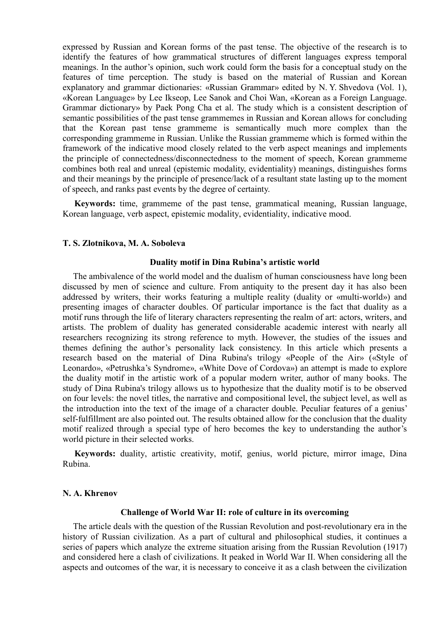expressed by Russian and Korean forms of the past tense. The objective of the research is to identify the features of how grammatical structures of different languages express temporal meanings. In the author's opinion, such work could form the basis for a conceptual study on the features of time perception. The study is based on the material of Russian and Korean explanatory and grammar dictionaries: «Russian Grammar» edited by N. Y. Shvedova (Vol. 1), «Korean Language» by Lee Ikseop, Lee Sanok and Choi Wan, «Korean as a Foreign Language. Grammar dictionary» by Paek Pong Cha et al. The study which is a consistent description of semantic possibilities of the past tense grammemes in Russian and Korean allows for concluding that the Korean past tense grammeme is semantically much more complex than the corresponding grammeme in Russian. Unlike the Russian grammeme which is formed within the framework of the indicative mood closely related to the verb aspect meanings and implements the principle of connectedness/disconnectedness to the moment of speech, Korean grammeme combines both real and unreal (epistemic modality, evidentiality) meanings, distinguishes forms and their meanings by the principle of presence/lack of a resultant state lasting up to the moment of speech, and ranks past events by the degree of certainty.

**Keywords:** time, grammeme of the past tense, grammatical meaning, Russian language, Korean language, verb aspect, epistemic modality, evidentiality, indicative mood.

#### **T. S. Zlotnikova, M. A. Soboleva**

#### **Duality motif in Dina Rubina's artistic world**

The ambivalence of the world model and the dualism of human consciousness have long been discussed by men of science and culture. From antiquity to the present day it has also been addressed by writers, their works featuring a multiple reality (duality or «multi-world») and presenting images of character doubles. Of particular importance is the fact that duality as a motif runs through the life of literary characters representing the realm of art: actors, writers, and artists. The problem of duality has generated considerable academic interest with nearly all researchers recognizing its strong reference to myth. However, the studies of the issues and themes defining the author's personality lack consistency. In this article which presents a research based on the material of Dina Rubina's trilogy «People of the Air» («Style of Leonardo», «Petrushka's Syndrome», «White Dove of Cordova») an attempt is made to explore the duality motif in the artistic work of a popular modern writer, author of many books. The study of Dina Rubina's trilogy allows us to hypothesize that the duality motif is to be observed on four levels: the novel titles, the narrative and compositional level, the subject level, as well as the introduction into the text of the image of a character double. Peculiar features of a genius' self-fulfillment are also pointed out. The results obtained allow for the conclusion that the duality motif realized through a special type of hero becomes the key to understanding the author's world picture in their selected works.

**Keywords:** duality, artistic creativity, motif, genius, world picture, mirror image, Dina Rubina.

### **N. A. Khrenov**

#### **Challenge of World War II: role of culture in its overcoming**

The article deals with the question of the Russian Revolution and post-revolutionary era in the history of Russian civilization. As a part of cultural and philosophical studies, it continues a series of papers which analyze the extreme situation arising from the Russian Revolution (1917) and considered here a clash of civilizations. It peaked in World War II. When considering all the aspects and outcomes of the war, it is necessary to conceive it as a clash between the civilization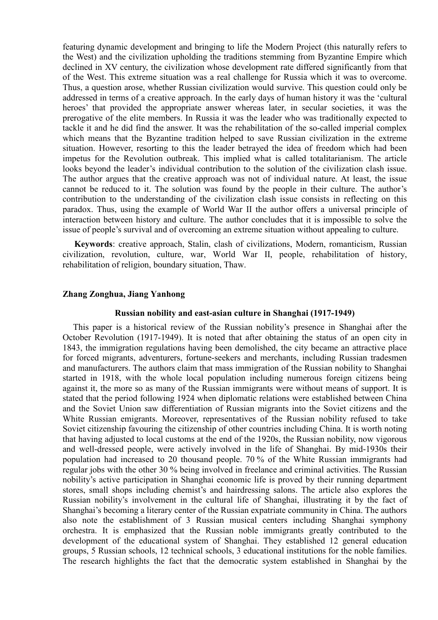featuring dynamic development and bringing to life the Modern Project (this naturally refers to the West) and the civilization upholding the traditions stemming from Byzantine Empire which declined in XV century, the civilization whose development rate differed significantly from that of the West. This extreme situation was a real challenge for Russia which it was to overcome. Thus, a question arose, whether Russian civilization would survive. This question could only be addressed in terms of a creative approach. In the early days of human history it was the 'cultural heroes' that provided the appropriate answer whereas later, in secular societies, it was the prerogative of the elite members. In Russia it was the leader who was traditionally expected to tackle it and he did find the answer. It was the rehabilitation of the so-called imperial complex which means that the Byzantine tradition helped to save Russian civilization in the extreme situation. However, resorting to this the leader betrayed the idea of freedom which had been impetus for the Revolution outbreak. This implied what is called totalitarianism. The article looks beyond the leader's individual contribution to the solution of the civilization clash issue. The author argues that the creative approach was not of individual nature. At least, the issue cannot be reduced to it. The solution was found by the people in their culture. The author's contribution to the understanding of the civilization clash issue consists in reflecting on this paradox. Thus, using the example of World War II the author offers a universal principle of interaction between history and culture. The author concludes that it is impossible to solve the issue of people's survival and of overcoming an extreme situation without appealing to culture.

**Keywords**: creative approach, Stalin, clash of civilizations, Modern, romanticism, Russian civilization, revolution, culture, war, World War II, people, rehabilitation of history, rehabilitation of religion, boundary situation, Thaw.

# **Zhang Zonghua, Jiang Yanhong**

#### **Russian nobility and east-asian culture in Shanghai (1917-1949)**

This paper is a historical review of the Russian nobility's presence in Shanghai after the October Revolution (1917-1949). It is noted that after obtaining the status of an open city in 1843, the immigration regulations having been demolished, the city became an attractive place for forced migrants, adventurers, fortune-seekers and merchants, including Russian tradesmen and manufacturers. The authors claim that mass immigration of the Russian nobility to Shanghai started in 1918, with the whole local population including numerous foreign citizens being against it, the more so as many of the Russian immigrants were without means of support. It is stated that the period following 1924 when diplomatic relations were established between China and the Soviet Union saw differentiation of Russian migrants into the Soviet citizens and the White Russian emigrants. Moreover, representatives of the Russian nobility refused to take Soviet citizenship favouring the citizenship of other countries including China. It is worth noting that having adjusted to local customs at the end of the 1920s, the Russian nobility, now vigorous and well-dressed people, were actively involved in the life of Shanghai. By mid-1930s their population had increased to 20 thousand people. 70 % of the White Russian immigrants had regular jobs with the other 30 % being involved in freelance and criminal activities. The Russian nobility's active participation in Shanghai economic life is proved by their running department stores, small shops including chemist's and hairdressing salons. The article also explores the Russian nobility's involvement in the cultural life of Shanghai, illustrating it by the fact of Shanghai's becoming a literary center of the Russian expatriate community in China. The authors also note the establishment of 3 Russian musical centers including Shanghai symphony orchestra. It is emphasized that the Russian noble immigrants greatly contributed to the development of the educational system of Shanghai. They established 12 general education groups, 5 Russian schools, 12 technical schools, 3 educational institutions for the noble families. The research highlights the fact that the democratic system established in Shanghai by the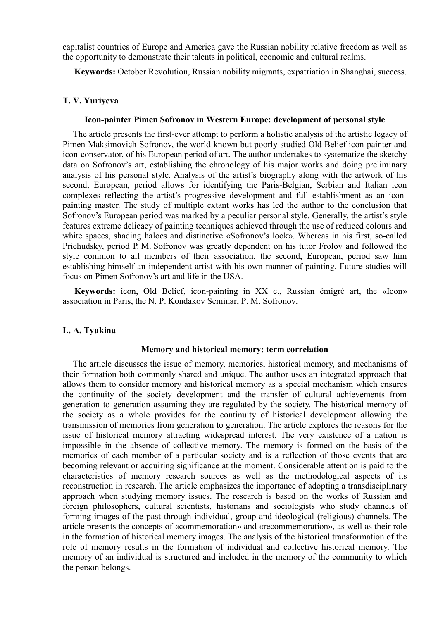capitalist countries of Europe and America gave the Russian nobility relative freedom as well as the opportunity to demonstrate their talents in political, economic and cultural realms.

**Keywords:** October Revolution, Russian nobility migrants, expatriation in Shanghai, success.

# **T. V. Yuriyeva**

### **Icon-painter Pimen Sofronov in Western Europe: development of personal style**

The article presents the first-ever attempt to perform a holistic analysis of the artistic legacy of Pimen Maksimovich Sofronov, the world-known but poorly-studied Old Belief icon-painter and icon-conservator, of his European period of art. The author undertakes to systematize the sketchy data on Sofronov's art, establishing the chronology of his major works and doing preliminary analysis of his personal style. Analysis of the artist's biography along with the artwork of his second, European, period allows for identifying the Paris-Belgian, Serbian and Italian icon complexes reflecting the artist's progressive development and full establishment as an iconpainting master. The study of multiple extant works has led the author to the conclusion that Sofronov's European period was marked by a peculiar personal style. Generally, the artist's style features extreme delicacy of painting techniques achieved through the use of reduced colours and white spaces, shading haloes and distinctive «Sofronov's look». Whereas in his first, so-called Prichudsky, period P. M. Sofronov was greatly dependent on his tutor Frolov and followed the style common to all members of their association, the second, European, period saw him establishing himself an independent artist with his own manner of painting. Future studies will focus on Pimen Sofronov's art and life in the USA.

**Keywords:** icon, Old Belief, icon-painting in XX c., Russian émigré art, the «Icon» association in Paris, the N. P. Kondakov Seminar, P. M. Sofronov.

### **L. A. Tyukina**

#### **Memory and historical memory: term correlation**

The article discusses the issue of memory, memories, historical memory, and mechanisms of their formation both commonly shared and unique. The author uses an integrated approach that allows them to consider memory and historical memory as a special mechanism which ensures the continuity of the society development and the transfer of cultural achievements from generation to generation assuming they are regulated by the society. The historical memory of the society as a whole provides for the continuity of historical development allowing the transmission of memories from generation to generation. The article explores the reasons for the issue of historical memory attracting widespread interest. The very existence of a nation is impossible in the absence of collective memory. The memory is formed on the basis of the memories of each member of a particular society and is a reflection of those events that are becoming relevant or acquiring significance at the moment. Considerable attention is paid to the characteristics of memory research sources as well as the methodological aspects of its reconstruction in research. The article emphasizes the importance of adopting a transdisciplinary approach when studying memory issues. The research is based on the works of Russian and foreign philosophers, cultural scientists, historians and sociologists who study channels of forming images of the past through individual, group and ideological (religious) channels. The article presents the concepts of «commemoration» and «recommemoration», as well as their role in the formation of historical memory images. The analysis of the historical transformation of the role of memory results in the formation of individual and collective historical memory. The memory of an individual is structured and included in the memory of the community to which the person belongs.